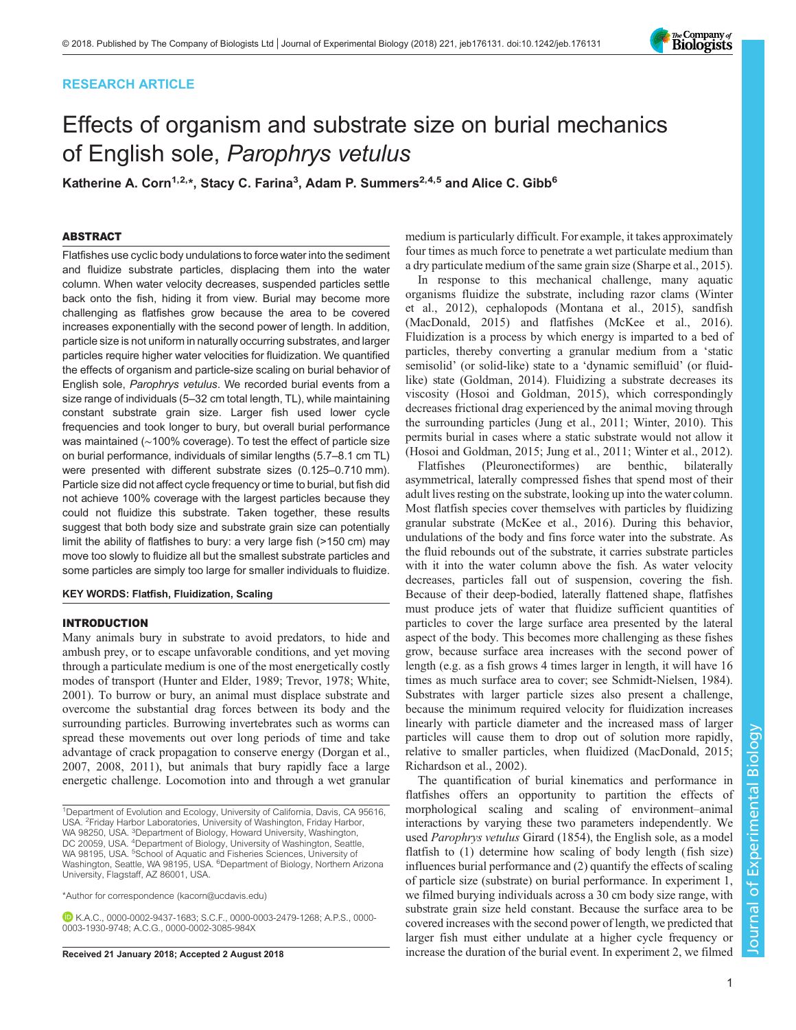# RESEARCH ARTICLE



# Effects of organism and substrate size on burial mechanics of English sole, Parophrys vetulus

Katherine A. Corn<sup>1,2,</sup>\*, Stacy C. Farina<sup>3</sup>, Adam P. Summers<sup>2,4,5</sup> and Alice C. Gibb<sup>6</sup>

## ABSTRACT

Flatfishes use cyclic body undulations to force water into the sediment and fluidize substrate particles, displacing them into the water column. When water velocity decreases, suspended particles settle back onto the fish, hiding it from view. Burial may become more challenging as flatfishes grow because the area to be covered increases exponentially with the second power of length. In addition, particle size is not uniform in naturally occurring substrates, and larger particles require higher water velocities for fluidization. We quantified the effects of organism and particle-size scaling on burial behavior of English sole, Parophrys vetulus. We recorded burial events from a size range of individuals (5–32 cm total length, TL), while maintaining constant substrate grain size. Larger fish used lower cycle frequencies and took longer to bury, but overall burial performance was maintained (∼100% coverage). To test the effect of particle size on burial performance, individuals of similar lengths (5.7–8.1 cm TL) were presented with different substrate sizes (0.125–0.710 mm). Particle size did not affect cycle frequency or time to burial, but fish did not achieve 100% coverage with the largest particles because they could not fluidize this substrate. Taken together, these results suggest that both body size and substrate grain size can potentially limit the ability of flatfishes to bury: a very large fish (>150 cm) may move too slowly to fluidize all but the smallest substrate particles and some particles are simply too large for smaller individuals to fluidize.

## KEY WORDS: Flatfish, Fluidization, Scaling

## INTRODUCTION

Many animals bury in substrate to avoid predators, to hide and ambush prey, or to escape unfavorable conditions, and yet moving through a particulate medium is one of the most energetically costly modes of transport [\(Hunter and Elder, 1989;](#page-4-0) [Trevor, 1978](#page-5-0); [White,](#page-5-0) [2001](#page-5-0)). To burrow or bury, an animal must displace substrate and overcome the substantial drag forces between its body and the surrounding particles. Burrowing invertebrates such as worms can spread these movements out over long periods of time and take advantage of crack propagation to conserve energy ([Dorgan et al.,](#page-4-0) [2007](#page-4-0), [2008](#page-4-0), [2011](#page-4-0)), but animals that bury rapidly face a large energetic challenge. Locomotion into and through a wet granular

\*Author for correspondence [\(kacorn@ucdavis.edu](mailto:kacorn@ucdavis.edu))

K.A.C., [0000-0002-9437-1683;](http://orcid.org/0000-0002-9437-1683) S.C.F., [0000-0003-2479-1268;](http://orcid.org/0000-0003-2479-1268) A.P.S., [0000-](http://orcid.org/0000-0003-1930-9748) [0003-1930-9748;](http://orcid.org/0000-0003-1930-9748) A.C.G., [0000-0002-3085-984X](http://orcid.org/0000-0002-3085-984X)

medium is particularly difficult. For example, it takes approximately four times as much force to penetrate a wet particulate medium than a dry particulate medium of the same grain size ([Sharpe et al., 2015\)](#page-5-0).

In response to this mechanical challenge, many aquatic organisms fluidize the substrate, including razor clams [\(Winter](#page-5-0) [et al., 2012](#page-5-0)), cephalopods ([Montana et al., 2015\)](#page-5-0), sandfish [\(MacDonald, 2015](#page-5-0)) and flatfishes [\(McKee et al., 2016\)](#page-5-0). Fluidization is a process by which energy is imparted to a bed of particles, thereby converting a granular medium from a 'static semisolid' (or solid-like) state to a 'dynamic semifluid' (or fluidlike) state ([Goldman, 2014\)](#page-4-0). Fluidizing a substrate decreases its viscosity [\(Hosoi and Goldman, 2015](#page-4-0)), which correspondingly decreases frictional drag experienced by the animal moving through the surrounding particles ([Jung et al., 2011;](#page-4-0) [Winter, 2010](#page-5-0)). This permits burial in cases where a static substrate would not allow it [\(Hosoi and Goldman, 2015](#page-4-0); [Jung et al., 2011](#page-4-0); [Winter et al., 2012\)](#page-5-0).

Flatfishes (Pleuronectiformes) are benthic, bilaterally asymmetrical, laterally compressed fishes that spend most of their adult lives resting on the substrate, looking up into the water column. Most flatfish species cover themselves with particles by fluidizing granular substrate ([McKee et al., 2016](#page-5-0)). During this behavior, undulations of the body and fins force water into the substrate. As the fluid rebounds out of the substrate, it carries substrate particles with it into the water column above the fish. As water velocity decreases, particles fall out of suspension, covering the fish. Because of their deep-bodied, laterally flattened shape, flatfishes must produce jets of water that fluidize sufficient quantities of particles to cover the large surface area presented by the lateral aspect of the body. This becomes more challenging as these fishes grow, because surface area increases with the second power of length (e.g. as a fish grows 4 times larger in length, it will have 16 times as much surface area to cover; see [Schmidt-Nielsen, 1984\)](#page-5-0). Substrates with larger particle sizes also present a challenge, because the minimum required velocity for fluidization increases linearly with particle diameter and the increased mass of larger particles will cause them to drop out of solution more rapidly, relative to smaller particles, when fluidized [\(MacDonald, 2015](#page-5-0); [Richardson et al., 2002](#page-5-0)).

The quantification of burial kinematics and performance in flatfishes offers an opportunity to partition the effects of morphological scaling and scaling of environment–animal interactions by varying these two parameters independently. We used Parophrys vetulus Girard (1854), the English sole, as a model flatfish to (1) determine how scaling of body length (fish size) influences burial performance and (2) quantify the effects of scaling of particle size (substrate) on burial performance. In experiment 1, we filmed burying individuals across a 30 cm body size range, with substrate grain size held constant. Because the surface area to be covered increases with the second power of length, we predicted that larger fish must either undulate at a higher cycle frequency or Received 21 January 2018; Accepted 2 August 2018 increase the duration of the burial event. In experiment 2, we filmed

<sup>&</sup>lt;sup>1</sup>Department of Evolution and Ecology, University of California, Davis, CA 95616, USA. 2Friday Harbor Laboratories, University of Washington, Friday Harbor, WA 98250, USA. <sup>3</sup>Department of Biology, Howard University, Washington,<br>DC 20059, USA. <sup>4</sup>Department of Biology, University of Washington, Seattle, WA 98195, USA. <sup>5</sup>School of Aquatic and Fisheries Sciences, University of Washington, Seattle, WA 98195, USA. <sup>6</sup>Department of Biology, Northern Arizona University, Flagstaff, AZ 86001, USA.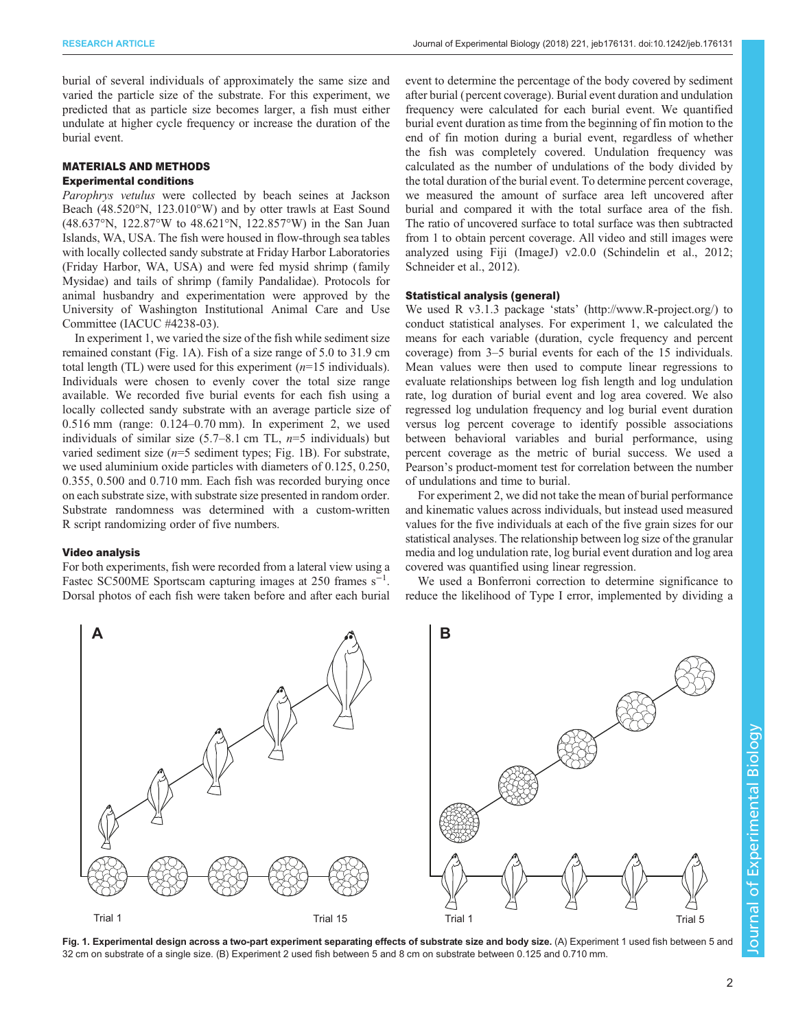burial of several individuals of approximately the same size and varied the particle size of the substrate. For this experiment, we predicted that as particle size becomes larger, a fish must either undulate at higher cycle frequency or increase the duration of the burial event.

# MATERIALS AND METHODS

## Experimental conditions

Parophrys vetulus were collected by beach seines at Jackson Beach (48.520°N, 123.010°W) and by otter trawls at East Sound (48.637°N, 122.87°W to 48.621°N, 122.857°W) in the San Juan Islands, WA, USA. The fish were housed in flow-through sea tables with locally collected sandy substrate at Friday Harbor Laboratories (Friday Harbor, WA, USA) and were fed mysid shrimp (family Mysidae) and tails of shrimp (family Pandalidae). Protocols for animal husbandry and experimentation were approved by the University of Washington Institutional Animal Care and Use Committee (IACUC #4238-03).

In experiment 1, we varied the size of the fish while sediment size remained constant (Fig. 1A). Fish of a size range of 5.0 to 31.9 cm total length (TL) were used for this experiment  $(n=15 \text{ individuals})$ . Individuals were chosen to evenly cover the total size range available. We recorded five burial events for each fish using a locally collected sandy substrate with an average particle size of 0.516 mm (range: 0.124–0.70 mm). In experiment 2, we used individuals of similar size  $(5.7–8.1 \text{ cm} \text{ TL}, n=5 \text{ individuals})$  but varied sediment size  $(n=5$  sediment types; Fig. 1B). For substrate, we used aluminium oxide particles with diameters of 0.125, 0.250, 0.355, 0.500 and 0.710 mm. Each fish was recorded burying once on each substrate size, with substrate size presented in random order. Substrate randomness was determined with a custom-written R script randomizing order of five numbers.

## Video analysis

For both experiments, fish were recorded from a lateral view using a Fastec SC500ME Sportscam capturing images at 250 frames  $s^{-1}$ . Dorsal photos of each fish were taken before and after each burial event to determine the percentage of the body covered by sediment after burial ( percent coverage). Burial event duration and undulation frequency were calculated for each burial event. We quantified burial event duration as time from the beginning of fin motion to the end of fin motion during a burial event, regardless of whether the fish was completely covered. Undulation frequency was calculated as the number of undulations of the body divided by the total duration of the burial event. To determine percent coverage, we measured the amount of surface area left uncovered after burial and compared it with the total surface area of the fish. The ratio of uncovered surface to total surface was then subtracted from 1 to obtain percent coverage. All video and still images were analyzed using Fiji (ImageJ) v2.0.0 [\(Schindelin et al., 2012](#page-5-0); [Schneider et al., 2012\)](#page-5-0).

#### Statistical analysis (general)

We used R v3.1.3 package 'stats' ([http://www.R-project.org/\)](http://www.R-project.org/) to conduct statistical analyses. For experiment 1, we calculated the means for each variable (duration, cycle frequency and percent coverage) from 3–5 burial events for each of the 15 individuals. Mean values were then used to compute linear regressions to evaluate relationships between log fish length and log undulation rate, log duration of burial event and log area covered. We also regressed log undulation frequency and log burial event duration versus log percent coverage to identify possible associations between behavioral variables and burial performance, using percent coverage as the metric of burial success. We used a Pearson's product-moment test for correlation between the number of undulations and time to burial.

For experiment 2, we did not take the mean of burial performance and kinematic values across individuals, but instead used measured values for the five individuals at each of the five grain sizes for our statistical analyses. The relationship between log size of the granular media and log undulation rate, log burial event duration and log area covered was quantified using linear regression.

We used a Bonferroni correction to determine significance to reduce the likelihood of Type I error, implemented by dividing a



Fig. 1. Experimental design across a two-part experiment separating effects of substrate size and body size. (A) Experiment 1 used fish between 5 and 32 cm on substrate of a single size. (B) Experiment 2 used fish between 5 and 8 cm on substrate between 0.125 and 0.710 mm.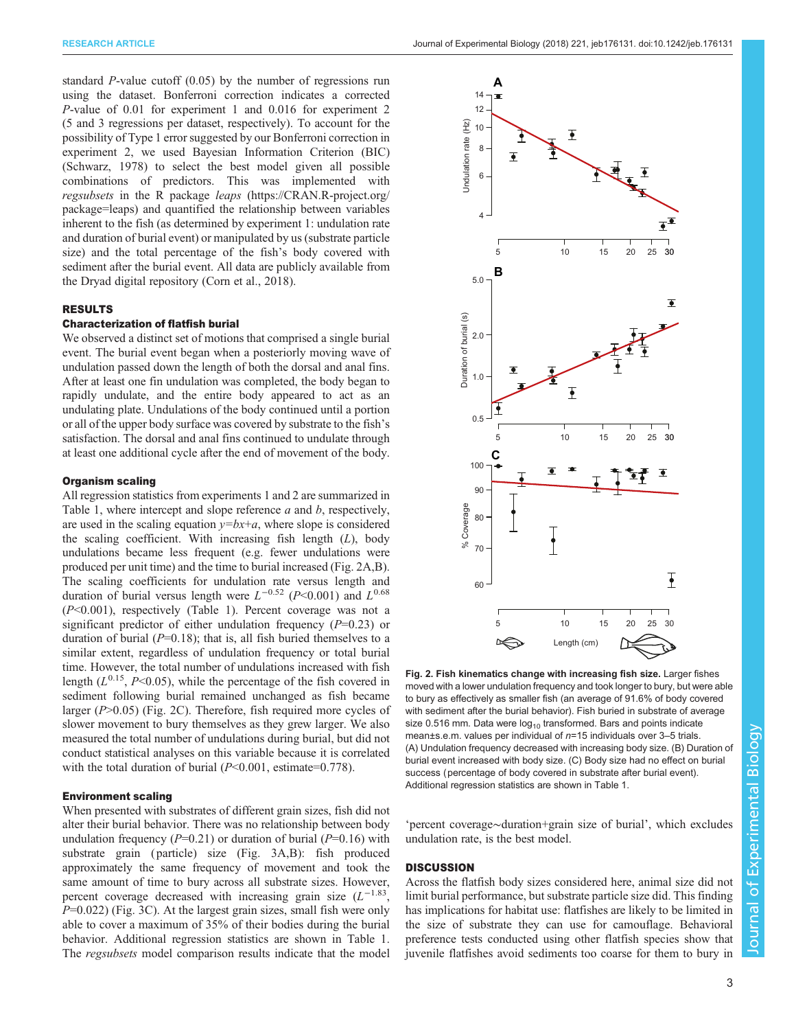standard P-value cutoff (0.05) by the number of regressions run using the dataset. Bonferroni correction indicates a corrected P-value of 0.01 for experiment 1 and 0.016 for experiment 2 (5 and 3 regressions per dataset, respectively). To account for the possibility of Type 1 error suggested by our Bonferroni correction in experiment 2, we used Bayesian Information Criterion (BIC) [\(Schwarz, 1978\)](#page-5-0) to select the best model given all possible combinations of predictors. This was implemented with regsubsets in the R package leaps [\(https://CRAN.R-project.org/](https://CRAN.R-project.org/package=leaps) [package=leaps](https://CRAN.R-project.org/package=leaps)) and quantified the relationship between variables inherent to the fish (as determined by experiment 1: undulation rate and duration of burial event) or manipulated by us (substrate particle size) and the total percentage of the fish's body covered with sediment after the burial event. All data are publicly available from the Dryad digital repository ([Corn et al., 2018\)](#page-4-0).

## RESULTS

# Characterization of flatfish burial

We observed a distinct set of motions that comprised a single burial event. The burial event began when a posteriorly moving wave of undulation passed down the length of both the dorsal and anal fins. After at least one fin undulation was completed, the body began to rapidly undulate, and the entire body appeared to act as an undulating plate. Undulations of the body continued until a portion or all of the upper body surface was covered by substrate to the fish's satisfaction. The dorsal and anal fins continued to undulate through at least one additional cycle after the end of movement of the body.

## Organism scaling

All regression statistics from experiments 1 and 2 are summarized in [Table 1,](#page-4-0) where intercept and slope reference a and b, respectively, are used in the scaling equation  $y=bx+a$ , where slope is considered the scaling coefficient. With increasing fish length  $(L)$ , body undulations became less frequent (e.g. fewer undulations were produced per unit time) and the time to burial increased (Fig. 2A,B). The scaling coefficients for undulation rate versus length and duration of burial versus length were  $L^{-0.52}$  (P<0.001) and  $L^{0.68}$ (P<0.001), respectively [\(Table 1](#page-4-0)). Percent coverage was not a significant predictor of either undulation frequency  $(P=0.23)$  or duration of burial  $(P=0.18)$ ; that is, all fish buried themselves to a similar extent, regardless of undulation frequency or total burial time. However, the total number of undulations increased with fish length ( $L^{0.15}$ ,  $P<0.05$ ), while the percentage of the fish covered in sediment following burial remained unchanged as fish became larger  $(P>0.05)$  (Fig. 2C). Therefore, fish required more cycles of slower movement to bury themselves as they grew larger. We also measured the total number of undulations during burial, but did not conduct statistical analyses on this variable because it is correlated with the total duration of burial  $(P<0.001$ , estimate=0.778).

## Environment scaling

When presented with substrates of different grain sizes, fish did not alter their burial behavior. There was no relationship between body undulation frequency ( $P=0.21$ ) or duration of burial ( $P=0.16$ ) with substrate grain ( particle) size [\(Fig. 3](#page-3-0)A,B): fish produced approximately the same frequency of movement and took the same amount of time to bury across all substrate sizes. However, percent coverage decreased with increasing grain size  $(L^{-1.83})$ ,  $P=0.022$ ) [\(Fig. 3](#page-3-0)C). At the largest grain sizes, small fish were only able to cover a maximum of 35% of their bodies during the burial behavior. Additional regression statistics are shown in [Table 1.](#page-4-0) The regsubsets model comparison results indicate that the model



Fig. 2. Fish kinematics change with increasing fish size. Larger fishes moved with a lower undulation frequency and took longer to bury, but were able to bury as effectively as smaller fish (an average of 91.6% of body covered with sediment after the burial behavior). Fish buried in substrate of average size 0.516 mm. Data were  $log_{10}$  transformed. Bars and points indicate mean±s.e.m. values per individual of n=15 individuals over 3–5 trials. (A) Undulation frequency decreased with increasing body size. (B) Duration of burial event increased with body size. (C) Body size had no effect on burial success (percentage of body covered in substrate after burial event). Additional regression statistics are shown in [Table 1](#page-4-0).

'percent coverage∼duration+grain size of burial', which excludes undulation rate, is the best model.

#### **DISCUSSION**

Across the flatfish body sizes considered here, animal size did not limit burial performance, but substrate particle size did. This finding has implications for habitat use: flatfishes are likely to be limited in the size of substrate they can use for camouflage. Behavioral preference tests conducted using other flatfish species show that juvenile flatfishes avoid sediments too coarse for them to bury in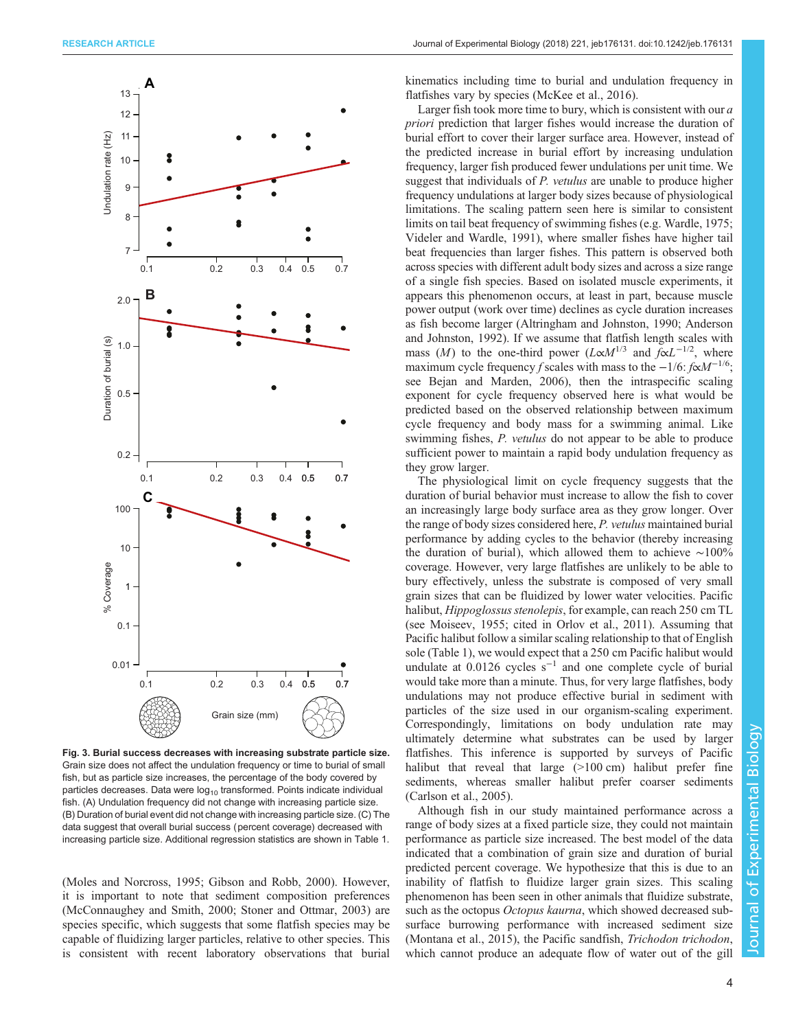<span id="page-3-0"></span>

Fig. 3. Burial success decreases with increasing substrate particle size. Grain size does not affect the undulation frequency or time to burial of small fish, but as particle size increases, the percentage of the body covered by particles decreases. Data were  $log_{10}$  transformed. Points indicate individual fish. (A) Undulation frequency did not change with increasing particle size. (B) Duration of burial event did not change with increasing particle size. (C) The data suggest that overall burial success (percent coverage) decreased with increasing particle size. Additional regression statistics are shown in [Table 1.](#page-4-0)

[\(Moles and Norcross, 1995](#page-5-0); [Gibson and Robb, 2000](#page-4-0)). However, it is important to note that sediment composition preferences [\(McConnaughey and Smith, 2000](#page-5-0); [Stoner and Ottmar, 2003](#page-5-0)) are species specific, which suggests that some flatfish species may be capable of fluidizing larger particles, relative to other species. This is consistent with recent laboratory observations that burial kinematics including time to burial and undulation frequency in flatfishes vary by species [\(McKee et al., 2016\)](#page-5-0).

Larger fish took more time to bury, which is consistent with our a priori prediction that larger fishes would increase the duration of burial effort to cover their larger surface area. However, instead of the predicted increase in burial effort by increasing undulation frequency, larger fish produced fewer undulations per unit time. We suggest that individuals of *P. vetulus* are unable to produce higher frequency undulations at larger body sizes because of physiological limitations. The scaling pattern seen here is similar to consistent limits on tail beat frequency of swimming fishes (e.g. [Wardle, 1975](#page-5-0); [Videler and Wardle, 1991](#page-5-0)), where smaller fishes have higher tail beat frequencies than larger fishes. This pattern is observed both across species with different adult body sizes and across a size range of a single fish species. Based on isolated muscle experiments, it appears this phenomenon occurs, at least in part, because muscle power output (work over time) declines as cycle duration increases as fish become larger [\(Altringham and Johnston, 1990; Anderson](#page-4-0) [and Johnston, 1992\)](#page-4-0). If we assume that flatfish length scales with mass (M) to the one-third power ( $L \propto M^{1/3}$  and  $f \propto L^{-1/2}$ , where maximum cycle frequency f scales with mass to the  $-1/6$ :  $f \propto M^{-1/6}$ ; see [Bejan and Marden, 2006](#page-4-0)), then the intraspecific scaling exponent for cycle frequency observed here is what would be predicted based on the observed relationship between maximum cycle frequency and body mass for a swimming animal. Like swimming fishes, P. *vetulus* do not appear to be able to produce sufficient power to maintain a rapid body undulation frequency as they grow larger.

The physiological limit on cycle frequency suggests that the duration of burial behavior must increase to allow the fish to cover an increasingly large body surface area as they grow longer. Over the range of body sizes considered here, P. vetulus maintained burial performance by adding cycles to the behavior (thereby increasing the duration of burial), which allowed them to achieve ∼100% coverage. However, very large flatfishes are unlikely to be able to bury effectively, unless the substrate is composed of very small grain sizes that can be fluidized by lower water velocities. Pacific halibut, *Hippoglossus stenolepis*, for example, can reach 250 cm TL (see [Moiseev, 1955;](#page-5-0) cited in [Orlov et al., 2011\)](#page-5-0). Assuming that Pacific halibut follow a similar scaling relationship to that of English sole [\(Table 1](#page-4-0)), we would expect that a 250 cm Pacific halibut would undulate at  $0.0126$  cycles s<sup>-1</sup> and one complete cycle of burial would take more than a minute. Thus, for very large flatfishes, body undulations may not produce effective burial in sediment with particles of the size used in our organism-scaling experiment. Correspondingly, limitations on body undulation rate may ultimately determine what substrates can be used by larger flatfishes. This inference is supported by surveys of Pacific halibut that reveal that large (>100 cm) halibut prefer fine sediments, whereas smaller halibut prefer coarser sediments [\(Carlson et al., 2005\)](#page-4-0).

Although fish in our study maintained performance across a range of body sizes at a fixed particle size, they could not maintain performance as particle size increased. The best model of the data indicated that a combination of grain size and duration of burial predicted percent coverage. We hypothesize that this is due to an inability of flatfish to fluidize larger grain sizes. This scaling phenomenon has been seen in other animals that fluidize substrate, such as the octopus Octopus kaurna, which showed decreased subsurface burrowing performance with increased sediment size [\(Montana et al., 2015\)](#page-5-0), the Pacific sandfish, *Trichodon trichodon*, which cannot produce an adequate flow of water out of the gill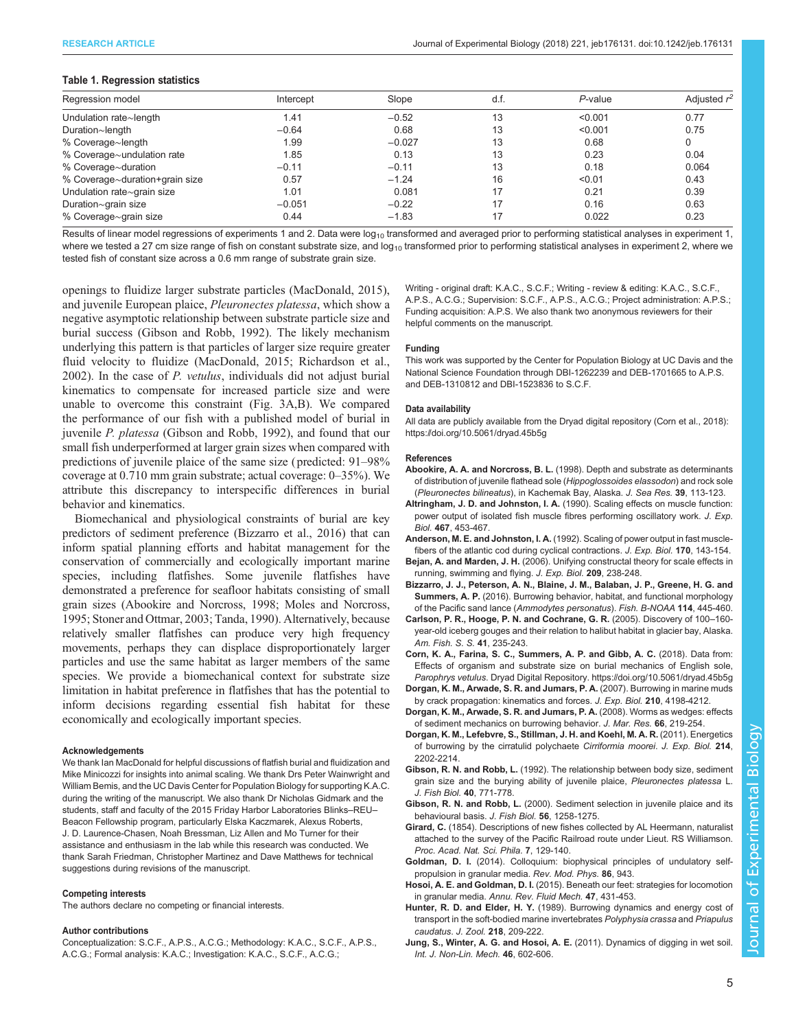## <span id="page-4-0"></span>Table 1. Regression statistics

| Regression model               | Intercept | Slope    | d.f. | $P$ -value | Adjusted $r^2$ |
|--------------------------------|-----------|----------|------|------------|----------------|
| Undulation rate~length         | 1.41      | $-0.52$  | 13   | < 0.001    | 0.77           |
| Duration~length                | $-0.64$   | 0.68     | 13   | < 0.001    | 0.75           |
| % Coverage~length              | 1.99      | $-0.027$ | 13   | 0.68       | 0              |
| % Coverage~undulation rate     | 1.85      | 0.13     | 13   | 0.23       | 0.04           |
| % Coverage~duration            | $-0.11$   | $-0.11$  | 13   | 0.18       | 0.064          |
| % Coverage~duration+grain size | 0.57      | $-1.24$  | 16   | < 0.01     | 0.43           |
| Undulation rate~grain size     | 1.01      | 0.081    | 17   | 0.21       | 0.39           |
| Duration~grain size            | $-0.051$  | $-0.22$  | 17   | 0.16       | 0.63           |
| % Coverage~grain size          | 0.44      | $-1.83$  | 17   | 0.022      | 0.23           |

Results of linear model regressions of experiments 1 and 2. Data were  $log_{10}$  transformed and averaged prior to performing statistical analyses in experiment 1, where we tested a 27 cm size range of fish on constant substrate size, and  $log_{10}$  transformed prior to performing statistical analyses in experiment 2, where we tested fish of constant size across a 0.6 mm range of substrate grain size.

openings to fluidize larger substrate particles ([MacDonald, 2015\)](#page-5-0), and juvenile European plaice, Pleuronectes platessa, which show a negative asymptotic relationship between substrate particle size and burial success (Gibson and Robb, 1992). The likely mechanism underlying this pattern is that particles of larger size require greater fluid velocity to fluidize ([MacDonald, 2015; Richardson et al.,](#page-5-0) [2002](#page-5-0)). In the case of P. vetulus, individuals did not adjust burial kinematics to compensate for increased particle size and were unable to overcome this constraint [\(Fig. 3A](#page-3-0),B). We compared the performance of our fish with a published model of burial in juvenile P. platessa (Gibson and Robb, 1992), and found that our small fish underperformed at larger grain sizes when compared with predictions of juvenile plaice of the same size ( predicted: 91–98% coverage at 0.710 mm grain substrate; actual coverage: 0–35%). We attribute this discrepancy to interspecific differences in burial behavior and kinematics.

Biomechanical and physiological constraints of burial are key predictors of sediment preference (Bizzarro et al., 2016) that can inform spatial planning efforts and habitat management for the conservation of commercially and ecologically important marine species, including flatfishes. Some juvenile flatfishes have demonstrated a preference for seafloor habitats consisting of small grain sizes (Abookire and Norcross, 1998; [Moles and Norcross,](#page-5-0) [1995; Stoner and Ottmar, 2003](#page-5-0); [Tanda, 1990](#page-5-0)). Alternatively, because relatively smaller flatfishes can produce very high frequency movements, perhaps they can displace disproportionately larger particles and use the same habitat as larger members of the same species. We provide a biomechanical context for substrate size limitation in habitat preference in flatfishes that has the potential to inform decisions regarding essential fish habitat for these economically and ecologically important species.

#### Acknowledgements

We thank Ian MacDonald for helpful discussions of flatfish burial and fluidization and Mike Minicozzi for insights into animal scaling. We thank Drs Peter Wainwright and William Bemis, and the UC Davis Center for Population Biology for supporting K.A.C. during the writing of the manuscript. We also thank Dr Nicholas Gidmark and the students, staff and faculty of the 2015 Friday Harbor Laboratories Blinks–REU– Beacon Fellowship program, particularly Elska Kaczmarek, Alexus Roberts, J. D. Laurence-Chasen, Noah Bressman, Liz Allen and Mo Turner for their assistance and enthusiasm in the lab while this research was conducted. We thank Sarah Friedman, Christopher Martinez and Dave Matthews for technical suggestions during revisions of the manuscript.

#### Competing interests

The authors declare no competing or financial interests.

#### Author contributions

Conceptualization: S.C.F., A.P.S., A.C.G.; Methodology: K.A.C., S.C.F., A.P.S., A.C.G.; Formal analysis: K.A.C.; Investigation: K.A.C., S.C.F., A.C.G.;

Writing - original draft: K.A.C., S.C.F.; Writing - review & editing: K.A.C., S.C.F., A.P.S., A.C.G.; Supervision: S.C.F., A.P.S., A.C.G.; Project administration: A.P.S.; Funding acquisition: A.P.S. We also thank two anonymous reviewers for their helpful comments on the manuscript.

#### Funding

This work was supported by the Center for Population Biology at UC Davis and the National Science Foundation through DBI-1262239 and DEB-1701665 to A.P.S. and DEB-1310812 and DBI-1523836 to S.C.F.

## Data availability

All data are publicly available from the Dryad digital repository (Corn et al., 2018): <https://doi.org/10.5061/dryad.45b5g>

#### References

- Abookire, A. A. and Norcross, B. L. [\(1998\). Depth and substrate as determinants](http://dx.doi.org/10.1016/S1385-1101(97)00058-0) [of distribution of juvenile flathead sole \(](http://dx.doi.org/10.1016/S1385-1101(97)00058-0)Hippoglossoides elassodon) and rock sole (Pleuronectes bilineatus[\), in Kachemak Bay, Alaska.](http://dx.doi.org/10.1016/S1385-1101(97)00058-0) J. Sea Res. 39, 113-123.
- Altringham, J. D. and Johnston, I. A. (1990). Scaling effects on muscle function: power output of isolated fish muscle fibres performing oscillatory work. J. Exp. Biol. 467, 453-467.
- Anderson, M. E. and Johnston, I. A. (1992). Scaling of power output in fast musclefibers of the atlantic cod during cyclical contractions. J. Exp. Biol. 170, 143-154.
- Bejan, A. and Marden, J. H. [\(2006\). Unifying constructal theory for scale effects in](http://dx.doi.org/10.1242/jeb.01974) [running, swimming and flying.](http://dx.doi.org/10.1242/jeb.01974) J. Exp. Biol. 209, 238-248.
- [Bizzarro, J. J., Peterson, A. N., Blaine, J. M., Balaban, J. P., Greene, H. G. and](http://dx.doi.org/10.7755/FB.114.4.7) Summers, A. P. [\(2016\). Burrowing behavior, habitat, and functional morphology](http://dx.doi.org/10.7755/FB.114.4.7) [of the Pacific sand lance \(](http://dx.doi.org/10.7755/FB.114.4.7)Ammodytes personatus). Fish. B-NOAA 114, 445-460.
- Carlson, P. R., Hooge, P. N. and Cochrane, G. R. (2005). Discovery of 100–160 year-old iceberg gouges and their relation to halibut habitat in glacier bay, Alaska. Am. Fish. S. S. 41, 235-243.
- Corn, K. A., Farina, S. C., Summers, A. P. and Gibb, A. C. (2018). Data from: Effects of organism and substrate size on burial mechanics of English sole, Parophrys vetulus. Dryad Digital Repository.<https://doi.org/10.5061/dryad.45b5g>
- [Dorgan, K. M., Arwade, S. R. and Jumars, P. A.](http://dx.doi.org/10.1242/jeb.010371) (2007). Burrowing in marine muds [by crack propagation: kinematics and forces.](http://dx.doi.org/10.1242/jeb.010371) J. Exp. Biol. 210, 4198-4212.
- [Dorgan, K. M., Arwade, S. R. and Jumars, P. A.](http://dx.doi.org/10.1357/002224008785837130) (2008). Worms as wedges: effects [of sediment mechanics on burrowing behavior.](http://dx.doi.org/10.1357/002224008785837130) J. Mar. Res. 66, 219-254.
- [Dorgan, K. M., Lefebvre, S., Stillman, J. H. and Koehl, M. A. R.](http://dx.doi.org/10.1242/jeb.054700) (2011). Energetics [of burrowing by the cirratulid polychaete](http://dx.doi.org/10.1242/jeb.054700) Cirriformia moorei. J. Exp. Biol. 214, [2202-2214.](http://dx.doi.org/10.1242/jeb.054700)
- Gibson, R. N. and Robb, L. [\(1992\). The relationship between body size, sediment](http://dx.doi.org/10.1111/j.1095-8649.1992.tb02623.x) [grain size and the burying ability of juvenile plaice,](http://dx.doi.org/10.1111/j.1095-8649.1992.tb02623.x) Pleuronectes platessa L. [J. Fish Biol.](http://dx.doi.org/10.1111/j.1095-8649.1992.tb02623.x) 40, 771-778.
- Gibson, R. N. and Robb, L. [\(2000\). Sediment selection in juvenile plaice and its](http://dx.doi.org/10.1111/j.1095-8649.2000.tb02138.x) [behavioural basis.](http://dx.doi.org/10.1111/j.1095-8649.2000.tb02138.x) J. Fish Biol. 56, 1258-1275.
- Girard, C. (1854). Descriptions of new fishes collected by AL Heermann, naturalist attached to the survey of the Pacific Railroad route under Lieut. RS Williamson. Proc. Acad. Nat. Sci. Phila. 7, 129-140.
- Goldman, D. I. [\(2014\). Colloquium: biophysical principles of undulatory self](http://dx.doi.org/10.1103/RevModPhys.86.943)[propulsion in granular media.](http://dx.doi.org/10.1103/RevModPhys.86.943) Rev. Mod. Phys. 86, 943.
- Hosoi, A. E. and Goldman, D. I. [\(2015\). Beneath our feet: strategies for locomotion](http://dx.doi.org/10.1146/annurev-fluid-010313-141324) in granular media. [Annu. Rev. Fluid Mech.](http://dx.doi.org/10.1146/annurev-fluid-010313-141324) 47, 431-453.
- Hunter, R. D. and Elder, H. Y. [\(1989\). Burrowing dynamics and energy cost of](http://dx.doi.org/10.1111/j.1469-7998.1989.tb02533.x) [transport in the soft-bodied marine invertebrates](http://dx.doi.org/10.1111/j.1469-7998.1989.tb02533.x) Polyphysia crassa and Priapulus caudatus. J. Zool. 218[, 209-222.](http://dx.doi.org/10.1111/j.1469-7998.1989.tb02533.x)
- [Jung, S., Winter, A. G. and Hosoi, A. E.](http://dx.doi.org/10.1016/j.ijnonlinmec.2010.11.007) (2011). Dynamics of digging in wet soil. [Int. J. Non-Lin. Mech.](http://dx.doi.org/10.1016/j.ijnonlinmec.2010.11.007) 46, 602-606.